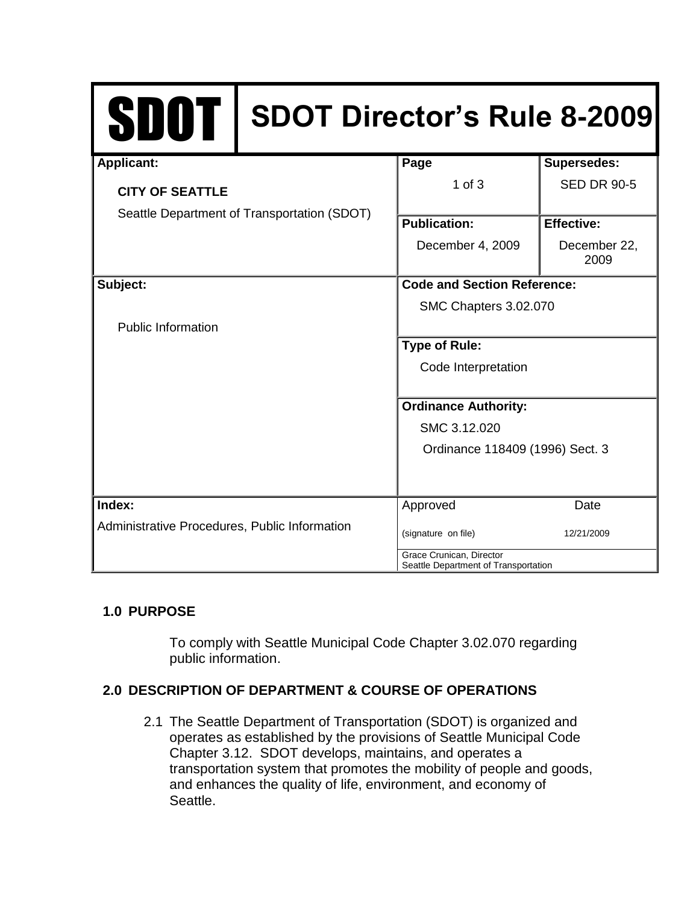| <b>SDOT</b>                                                           | <b>SDOT Director's Rule 8-2009</b>                               |                                    |                      |
|-----------------------------------------------------------------------|------------------------------------------------------------------|------------------------------------|----------------------|
| <b>Applicant:</b>                                                     |                                                                  | Page                               | <b>Supersedes:</b>   |
| <b>CITY OF SEATTLE</b><br>Seattle Department of Transportation (SDOT) |                                                                  | $1$ of $3$                         | <b>SED DR 90-5</b>   |
|                                                                       |                                                                  | <b>Publication:</b>                | <b>Effective:</b>    |
|                                                                       |                                                                  | December 4, 2009                   | December 22,<br>2009 |
| Subject:                                                              |                                                                  | <b>Code and Section Reference:</b> |                      |
|                                                                       |                                                                  | SMC Chapters 3.02.070              |                      |
| <b>Public Information</b>                                             |                                                                  |                                    |                      |
|                                                                       |                                                                  | <b>Type of Rule:</b>               |                      |
|                                                                       |                                                                  | Code Interpretation                |                      |
|                                                                       |                                                                  | <b>Ordinance Authority:</b>        |                      |
|                                                                       |                                                                  | SMC 3.12.020                       |                      |
|                                                                       |                                                                  | Ordinance 118409 (1996) Sect. 3    |                      |
| Index:                                                                |                                                                  | Approved                           | Date                 |
| Administrative Procedures, Public Information                         |                                                                  | (signature on file)                | 12/21/2009           |
|                                                                       | Grace Crunican, Director<br>Seattle Department of Transportation |                                    |                      |

# **1.0 PURPOSE**

To comply with Seattle Municipal Code Chapter 3.02.070 regarding public information.

# **2.0 DESCRIPTION OF DEPARTMENT & COURSE OF OPERATIONS**

2.1 The Seattle Department of Transportation (SDOT) is organized and operates as established by the provisions of Seattle Municipal Code Chapter 3.12. SDOT develops, maintains, and operates a transportation system that promotes the mobility of people and goods, and enhances the quality of life, environment, and economy of Seattle.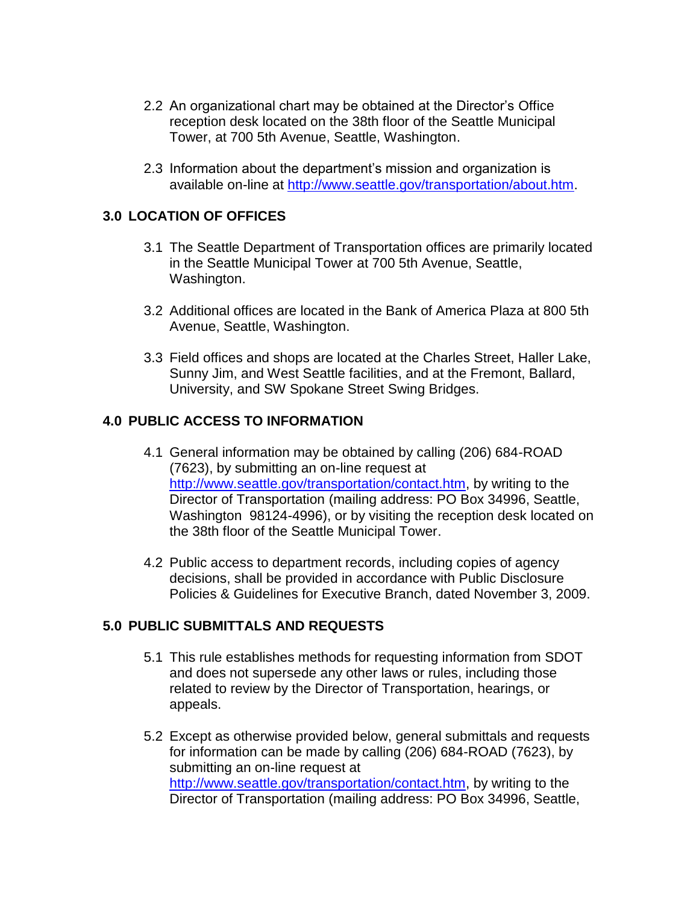- 2.2 An organizational chart may be obtained at the Director's Office reception desk located on the 38th floor of the Seattle Municipal Tower, at 700 5th Avenue, Seattle, Washington.
- 2.3 Information about the department's mission and organization is available on-line at [http://www.seattle.gov/transportation/about.htm.](http://www.seattle.gov/transportation/about.htm)

### **3.0 LOCATION OF OFFICES**

- 3.1 The Seattle Department of Transportation offices are primarily located in the Seattle Municipal Tower at 700 5th Avenue, Seattle, Washington.
- 3.2 Additional offices are located in the Bank of America Plaza at 800 5th Avenue, Seattle, Washington.
- 3.3 Field offices and shops are located at the Charles Street, Haller Lake, Sunny Jim, and West Seattle facilities, and at the Fremont, Ballard, University, and SW Spokane Street Swing Bridges.

### **4.0 PUBLIC ACCESS TO INFORMATION**

- 4.1 General information may be obtained by calling (206) 684-ROAD (7623), by submitting an on-line request at [http://www.seattle.gov/transportation/contact.htm,](http://www.seattle.gov/transportation/contact.htm) by writing to the Director of Transportation (mailing address: PO Box 34996, Seattle, Washington 98124-4996), or by visiting the reception desk located on the 38th floor of the Seattle Municipal Tower.
- 4.2 Public access to department records, including copies of agency decisions, shall be provided in accordance with Public Disclosure Policies & Guidelines for Executive Branch, dated November 3, 2009.

#### **5.0 PUBLIC SUBMITTALS AND REQUESTS**

- 5.1 This rule establishes methods for requesting information from SDOT and does not supersede any other laws or rules, including those related to review by the Director of Transportation, hearings, or appeals.
- 5.2 Except as otherwise provided below, general submittals and requests for information can be made by calling (206) 684-ROAD (7623), by submitting an on-line request at [http://www.seattle.gov/transportation/contact.htm,](http://www.seattle.gov/transportation/contact.htm) by writing to the Director of Transportation (mailing address: PO Box 34996, Seattle,